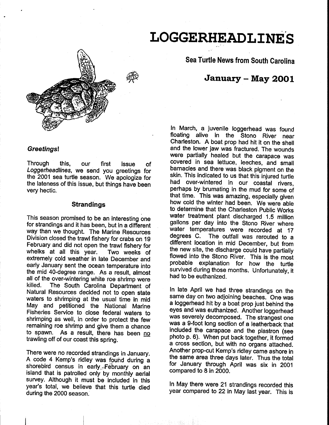# **LOGGERHEAD LINES**



**Sea Turtle News from South Carolina** 

# **January- May 2001**

## In March, a juvenile loggerhead was found floating alive in the Stono River near Charleston. A boat prop had hit it on the shell and the lower jaw was fractured. The wounds were partially healed but the carapace was covered in sea lettuce, leeches, and small barnacles and there was black pigment on the skin. This indicated to us that this injured turtle had over-wintered in our coastal rivers, perhaps by brumating in the mud for some of that time. This was amazing, especially given how cold the winter had been. We were able to determine that the Charleston Public Works water treatment plant discharged 1.5 million gallons per day into the Stono River where water temperatures were recorded at 17<br>degrees C. The outfall was rerouted to a The outfall was rerouted to a different location in mid December, but from the new site, the discharge could have partially flowed into the Stono River. This is the most probable explanation for how the turtle survived during those months. Unfortunately, it had to be euthanized.

In late April we had three strandings on the same day on two adjoining beaches. One was a loggerhead hit by a boat prop just behind the eyes and was euthanized. Another loggerhead was severely decomposed. The strangest one was a 9-foot long section of a leatherback that included the carapace and the plastron (see photo p. 6). When put back together, it formed a cross section, but with no organs attached. Another prop-cut Kemp's ridley came ashore in the same area three days later. Thus the total for January through April was six in 2001 compared to 8 in 2000.

In May there were 21 strandings recorded this year compared to 22 in May last year. This is

#### **Greetings!**

Through this, our first issue of Loggerheadlines, we send you greetings for the 2001 sea turtle season. We apologize for the lateness of this issue, but things have been very hectic.

#### **Strandings**

This season promised to be an interesting one for strandings and it has been, but in a different way than we thought. The Marine Resources Division closed the trawl fishery for crabs on 19 February and did not open the trawl fishery for whelks at all this year. Two weeks of extremely cold weather in late December and early January sent the ocean temperature into the mid 40-degree range. As a result, almost all of the over-wintering white roe shrimp were<br>killed. The South Carolina Department of The South Carolina Department of Natural Resources decided not to open state waters to shrimping at the usual time in mid May and petitioned the National Marine Fisheries Service to close federal waters to shrimping as well, in order to protect the few remaining roe shrimp and give them a chance to spawn. As a result, there has been no trawling off of our coast this spring.

There were no recorded strandings in January. A code 4 Kemp's ridley was found during a shorebird census in early. February on an island that is patrolled only by monthly aerial survey. Although it must be included in this year's total, we believe that this turtle died during the 2000 season.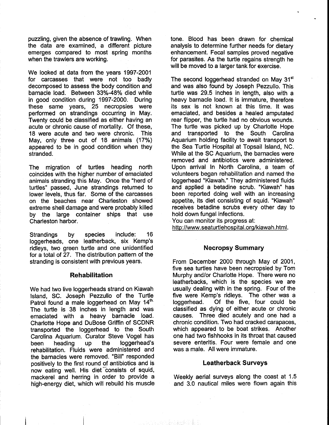puzzling, given the absence of trawling. When the data are examined, a different picture emerges compared to most spring months when the trawlers are working.

We looked at data from the years 1997-2001 for carcasses that were not too badly decomposed to assess the body condition and barnacle load. Between 33%-48% died while in good condition during 1997-2000. During these same years, 25 necropsies were performed on strandings occurring in May. Twenty could be classified as either having an acute or chronic cause of mortality. Of these, 18 were acute and two were chronic. This May, only three out of 18 animals (17%) appeared to be in good condition when they stranded.

The migration of turtles heading north coincides with the higher number of emaciated animals stranding this May. Once the "herd of turtles" passed, June strandings returned to lower levels, thus far. Some of the carcasses on the beaches near Charleston showed extreme shell damage and were probably killed by the large container ships that use Charleston harbor.

Strandings by species include: 16 loggerheads, one leatherback, six Kemp's ridleys, two green turtle and one unidentified for a total of 27. The distribution pattern of the stranding is consistent with previous years.

#### **Rehabilitation**

We had two live loggerheads strand on Kiawah Island, SC. Joseph Pezzullo of the Turtle Patrol found a male loggerhead on May 14th. The turtle is 38 inches in length and was emaciated with a heavy barnacle load. Charlotte Hope and DuBose Griffin of SCDNR transported the loggerhead to the South Carolina Aquarium. Curator Steve Vogel has been heading up the loggerhead's rehabilitation. Fluids were administered and the barnacles were removed. "Bill" responded positively to the first round of antibiotics and is now eating well. His diet "consists of squid, mackerel and herring in order to provide a high-energy diet, which will rebuild his muscle tone. Blood has been drawn for chemical analysis to determine further needs for dietary enhancement. Fecal samples proved negative for parasites. As the turtle regains strength he will be moved to a larger tank for exercise.

The second loggerhead stranded on May 31<sup>st</sup> and was also found by Joseph Pezzullo. This turtle was 29.5 inches in length, also with a heavy barnacle load. It is immature, therefore its sex is not known at this time. It was emaciated, and besides a healed amputated rear flipper, the turtle had no obvious wounds. The turtle was picked up by Charlotte Hope and transported to the South Carolina Aquarium holding facility to await transport to the Sea Turtle Hospital at Topsail Island, NC. While at the SC Aquarium, the barnacles were removed and antibiotics were administered. Upon arrival In North Carolina, a team of volunteers began rehabilitation and named the loggerhead "Kiawah." They administered fluids and applied a betadine scrub. "Kiawah" has been reported doing well with an increasing appetite, its diet consisting of squid. "Kiawah" receives betadine scrubs every other day to hold down fungal infections.

You can monitor its progress at: http://www.seaturtlehospital.org/kiawah.html.

## **Necropsy Summary**

From December 2000 through May of 2001, five sea turtles have been necropsied by Tom Murphy and/or Charlotte Hope. There were no leatherbacks, which is the species we are usually dealing with in the spring. Four of the five were Kemp's ridleys. The other was a loggerhead. Of the five, four could be classified as dying of either acute or chronic causes. Three died acutely and one had a chronic condition. Two had cracked carapaces, which appeared to be boat strikes. Another one had two fishhooks in its throat that caused severe enteritis. Four were female and one was a male. All were immature.

#### **Leatherback Surveys**

Weekly aerial surveys along the coast at 1.5 and 3.0 nautical miles were flown again this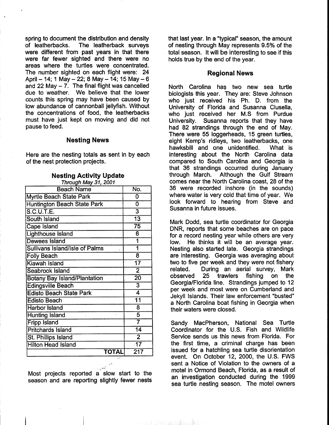spring to document the distribution and density of leatherbacks. The leatherback surveys were different from past years in that there were far fewer sighted and there were no areas where the turtles were concentrated. The number sighted on each flight were: 24 April - 14; 1 May - 22; 8 May - 14; 15 May - 6 and 22 May  $-7$ . The final flight was cancelled due to weather. We believe that the lower counts this spring may have been caused by low abundance of cannonball jellyfish. Without the concentrations of food, the leatherbacks must have just kept on moving and did not pause to feed.

# **Nesting News**

Here are the nesting totals as sent in by each of the nest protection projects.

| Through May 31, 2001                  |                         |
|---------------------------------------|-------------------------|
| <b>Beach Name</b>                     | No.                     |
| Myrtle Beach State Park               | O                       |
| <b>Huntington Beach State Park</b>    | Ō                       |
| <b>S.C.U.T.E.</b>                     | $\overline{3}$          |
| South Island                          | $\overline{13}$         |
| <b>Cape Island</b>                    | $\overline{75}$         |
| <b>Lighthouse Island</b>              | 6                       |
| <b>Dewees Island</b>                  | 1                       |
| <b>Sullivans Island/Isle of Palms</b> |                         |
| <b>Folly Beach</b>                    | 8                       |
| Kiawah Island                         | $\overline{17}$         |
| <b>Seabrook Island</b>                | $\overline{2}$          |
| <b>Botany Bay Island/Plantation</b>   | $\overline{20}$         |
| <b>Edingsville Beach</b>              | $\overline{3}$          |
| <b>Edisto Beach State Park</b>        | 4                       |
| <b>Edisto Beach</b>                   | $\overline{11}$         |
| <b>Harbor Island</b>                  | $\overline{\mathbf{8}}$ |
| <b>Hunting Island</b>                 | 5                       |
| <b>Fripp Island</b>                   | $\overline{\mathbf{7}}$ |
| <b>Pritchards Island</b>              | $\overline{14}$         |
| St. Phillips Island                   | $\overline{2}$          |
| <b>Hilton Head Island</b>             | $\overline{17}$         |
| <b>TOTAL</b>                          | $\overline{217}$        |

#### **Nesting Activity Update**

Most projects reported a slow start to the season and are reporting slightly fewer nests that last year. In a "typical" season, the amount of nesting through May represents 9.5% of the total season. It will be interesting to see if this holds true by the end of the year.

#### **Regional News**

North Carolina has two new sea turtle biologists this year. They are: Steve Johnson who just received his Ph. D. from the University of Florida and Susanna Clusella, who just received her M.S from Purdue University. Susanna reports that they have had 82 strandings through the end of May. There were 55 loggerheads, 15 green turtles, eight Kemp's ridleys, two leatherbacks, one hawksbill and one unidentified. What is interesting about the North Carolina data compared to South Carolina and Georgia is that 36 strandings occurred during January through March. Although the Gulf Stream comes near the North Carolina coast, 28 of the 36 were recorded inshore (in the sounds) where water is very cold that time of year. We look forward to hearing from Steve and Susanna in future issues.

Mark Dodd, sea turtle coordinator for Georgia DNR, reports that some beaches are on pace for a record nesting year while others are very low. He thinks it will be an average year. Nesting also started late. Georgia strandings are interesting. Georgia was averaging about two to five per week and they were not fishery related. During an aerial survey, Mark observed 25 trawlers fishing on the Georgia/Florida line. Strandings jumped to 12 per week and most were on Cumberland and Jekyll Islands. Their law enforcement "busted" a North Carolina boat fishing in Georgia when their waters were closed.

Sandy MacPherson, National Sea Turtle Coordinator for the U.S. Fish and Wildlife Service sends us this news from Florida. For the first time, a criminal charge has been issued for a hatchling sea turtle disorientation event. On October 12, 2000, the U.S. FWS sent a Notice of Violation to the owners of a motel in Ormond Beach, Florida, as a result of an investigation conducted during the 1999 sea turtle nesting season. The motel owners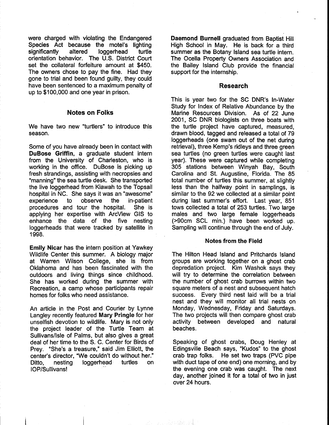were charged with violating the Endangered Species Act because the motel's lighting significantly altered loggerhead turtle orientation behavior. The U.S. District Court set the collateral forfeiture amount at \$450. The owners chose to pay the fine. Had they gone to trial and been found guilty, they could have been sentenced to a maximum penalty of up to \$100,000 and one year in prison.

#### **Notes on Folks**

We have two new "turtlers" to introduce this season.

Some of you have already been in contact with **DuBose Griffin,** a graduate student intern from the University of Charleston, who is working in the office. DuBose is picking up fresh strandings, assisting with necropsies and "manning" the sea turtle desk. She transported the live loggerhead from Kiawah to the Topsail hospital in NC. She says it was an "awesome" experience to observe the in-patient procedures and tour the hospital. She is applying her expertise with ArcView GIS to enhance the data of the five nesting loggerheads that were tracked by satellite in 1998.

**Emily Nicar** has the intern position at Yawkey Wildlife Center this summer. A biology major at Warren Wilson College, she is from Oklahoma and has been fascinated with the outdoors and living things since childhood. She has worked during the summer with Recreation, a camp whose participants repair homes for folks who need assistance.

An article in the Post and Courier by Lynne Langley recently featured **Mary Pringle** for her unselfish devotion to wildlife. Mary is not only the project leader of the Turtle Team at Sullivans/Isle of Palms, but also gives a great deal of her time to the S. C. Center for Birds of Prey. "She's a treasure," said Jim Elliott, the center's director, "We couldn't do without her." Ditto, nesting loggerhead turtles on IOP/Sullivans!

**Daemond Burnell** graduated from Baptist Hill High School in May. He is back for a third summer as the Botany Island sea turtle intern. The Ocella Property Owners Association and the Bailey Island Club provide the financial support for the internship.

#### **Research**

This is year two for the SC DNR's In-Water Study for Index of Relative Abundance by the Marine Resources Division. As of 22 June 2001, SC DNR biologists on three boats with the turtle project have captured, measured, drawn blood, tagged and released a total of 79 loggerheads (one swam out of the net during retrieval), three Kemp's ridleys and three green sea turtles (no green turtles were caught last year). These were captured while completing 305 stations between Winyah Bay, South Carolina and St. Augustine, Florida. The 85 total number of turtles this summer, at slightly less than the halfway point in samplings, is similar to the 92 we collected at a similar point during last summer's effort. Last year, 851 tows collected a total of 253 turtles. Two large males and two large female loggerheads (>90cm SCL min.) have been worked up. Sampling will continue through the end of July.

#### **Notes from the Field**

The Hilton Head Island and Pritchards Island groups are working together on a ghost crab depredation project. Kim Washok says they will try to determine the correlation between the number of ghost crab burrows within two square meters of a nest and subsequent hatch success. Every third nest laid will be a trial nest and they will monitor all trial nests on Monday, Wednesday, Friday and Saturdays. The two projects will then compare ghost crab activity between developed and natural beaches.

Speaking of ghost crabs, Doug Henley at Edingsville Beach says, "Kudos" to the ghost crab trap folks. He set two traps (PVC pipe with duct tape of one end) one morning, and by the evening one crab was caught. The next day, another joined it for a total of two in just over 24 hours.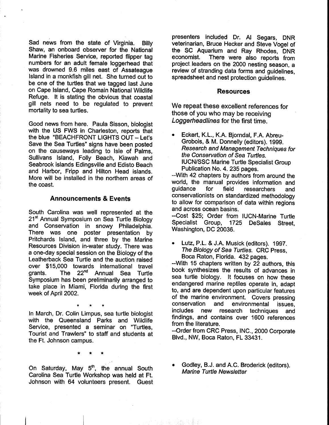Sad news from the state of Virginia. Billy Shaw, an onboard observer for the National Marine Fisheries Service, reported flipper tag numbers for an adult female loggerhead that was drowned 9.6 miles east of Assateague Island in a monkfish gill net. She turned out to be one of the turtles that we tagged last June on Cape Island, Cape Romain National Wildlife Refuge. It is stating the obvious that coastal gill nets need to be regulated to prevent mortality to sea turtles.

Good news from here. Paula Sisson, biologist with the US FWS in Charleston, reports that the blue "BEACHFRONT LIGHTS OUT- Let's Save the Sea Turtles" signs have been posted on the causeways leading to Isle of Palms, Sullivans Island, Folly Beach, Kiawah and Seabrook islands Edingsville and Edisto Beach and Harbor, Fripp and Hilton Head islands. More will be installed in the northern areas of the coast.

#### **Announcements & Events**

South Carolina was well represented at the 21<sup>st</sup> Annual Symposium on Sea Turtle Biology and Conservation in snowy Philadelphia. There was one poster presentation by Pritchards Island, and three by the Marine Resources Division in-water study. There was a one-day special session on the Biology of the Leatherback Sea Turtle and the auction raised over \$15,000 towards international travel grants. The 22<sup>nd</sup> Annual Sea Turtle Symposium has been preliminarily arranged to take place in Miami, Florida during the first week of April 2002.

\* \* \* In March, Dr. Colin Limpus, sea turtle biologist with the Queensland Parks and Wildlife Service, presented a seminar on "Turtles, Tourist and Trawlers" to staff and students at the Ft. Johnson campus.

\* \* \*

On Saturday, May 5<sup>th</sup>, the annual South Carolina Sea Turtle Workshop was held at Ft. Johnson with 64 volunteers present. Guest

presenters included Dr. AI Segars, DNR veterinarian, Bruce Hecker and Steve Vogel of the SC Aquarium and Ray Rhodes, DNR economist. There were also reports from project.leaders on the 2000 nesting season, a review of stranding data forms and guidelines, spreadsheet and nest protection guidelines.

#### **Resources**

We repeat these excellent references for those of you who may be receiving Loggerheadlines for the first time.

• Eckert, K.L., K.A. Bjorndal, F.A. Abreu-Grobois, & M. Donnelly (editors). 1999. Research and Management Techniques for the Conservation of Sea Turtles. IUCN/SSC Marine Turtle Specialist Group Publication No. 4. 235 pages.

--With 42 chapters by authors from around the world, the manual provides information and guidance for field researchers and conservationists on standardized methodology to allow for comparison of data within regions and across ocean basins.

--Cost \$25; Order from IUCN-Marine Turtle Specialist Group, 1725 DeSales Street, Washington, DC 20036.

• Lutz, P.L. & J.A. Musick (editors). 1997. The Biology of Sea Turtles. CRC Press, Boca Raton, Florida. 432 pages.

--With 15 chapters written by 22 authors, this book synthesizes the results of advances in sea turtle biology. It focuses on how these endangered marine reptiles operate in, adapt to, and are dependent upon particular features of the marine environment. Covers pressing conservation and environmental issues, includes new research techniques and findings, and contains over 1600 references from the literature.

--Order from CRC Press, INC., 2000 Corporate Blvd., NW, Boca Raton, FL 33431.

Godley, B.J. and A.C. Broderick (editors). Marine Turtle Newsletter